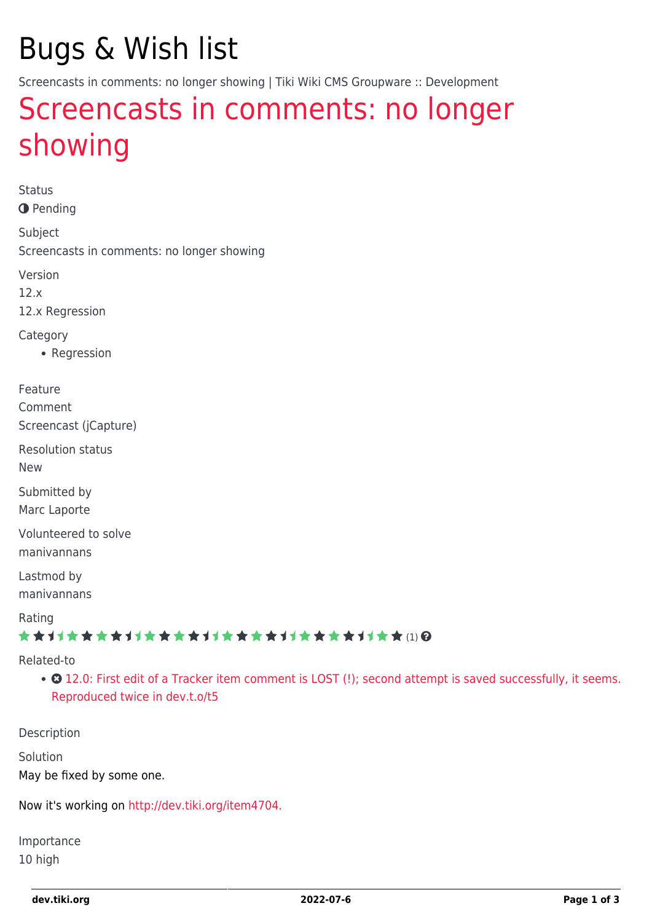# Bugs & Wish list

Screencasts in comments: no longer showing | Tiki Wiki CMS Groupware :: Development

# [Screencasts in comments: no longer](https://dev.tiki.org/item5007-Screencasts-in-comments-no-longer-showing) [showing](https://dev.tiki.org/item5007-Screencasts-in-comments-no-longer-showing)

Status **O** Pending

Subject Screencasts in comments: no longer showing

Version

12.x

12.x Regression

**Category** 

• Regression

Feature

Comment

Screencast (jCapture)

Resolution status New

Submitted by Marc Laporte

Volunteered to solve manivannans

Lastmod by manivannans

Rating

#### \*\*\*\*\*\*\*\*\*\*\*\*\*\*\*\*\*\*\*\*\*\*\*\*\*\*\*\*\*\*

#### Related-to

• 3 [12.0: First edit of a Tracker item comment is LOST \(!\); second attempt is saved successfully, it seems.](https://dev.tiki.org/item5021-12-0-First-edit-of-a-Tracker-item-comment-is-LOST-second-attempt-is-saved-successfully-it-seems-Reproduced-twice-in-dev-t-o-t5) [Reproduced twice in dev.t.o/t5](https://dev.tiki.org/item5021-12-0-First-edit-of-a-Tracker-item-comment-is-LOST-second-attempt-is-saved-successfully-it-seems-Reproduced-twice-in-dev-t-o-t5)

Description

Solution

May be fixed by some one.

Now it's working on<http://dev.tiki.org/item4704.>

Importance 10 high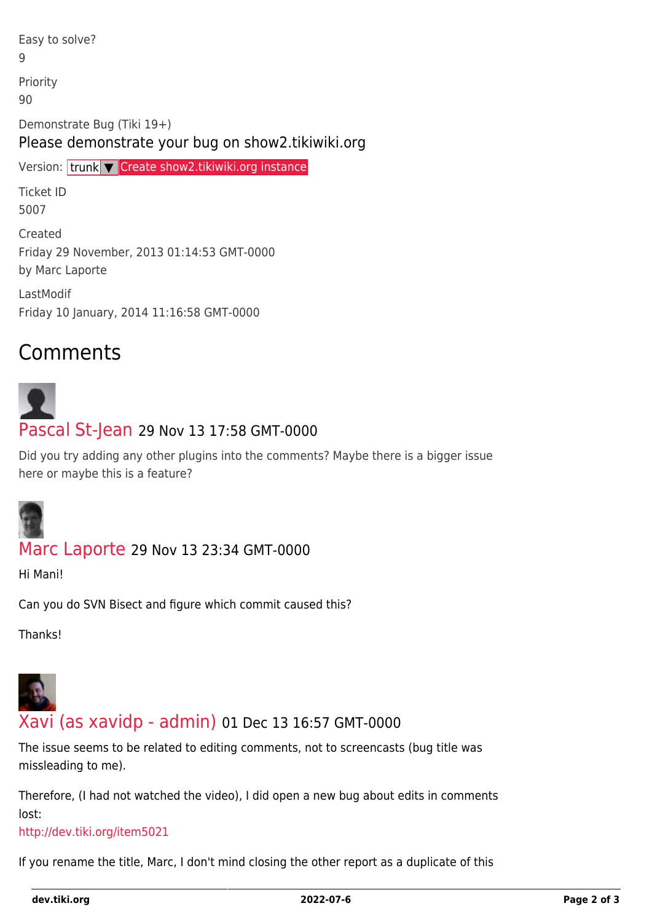Easy to solve? 9 Priority 90 Demonstrate Bug (Tiki 19+) Please demonstrate your bug on show2.tikiwiki.org

Version: trunk ▼ [Create show2.tikiwiki.org instance](#page--1-0)

Ticket ID 5007

Created Friday 29 November, 2013 01:14:53 GMT-0000 by Marc Laporte

LastModif Friday 10 January, 2014 11:16:58 GMT-0000

## Comments

# [Pascal St-Jean](https://dev.tiki.org/user10536) 29 Nov 13 17:58 GMT-0000

Did you try adding any other plugins into the comments? Maybe there is a bigger issue here or maybe this is a feature?



### [Marc Laporte](https://dev.tiki.org/user11197) 29 Nov 13 23:34 GMT-0000

Hi Mani!

Can you do SVN Bisect and figure which commit caused this?

Thanks!



### [Xavi \(as xavidp - admin\)](https://dev.tiki.org/user1553) 01 Dec 13 16:57 GMT-0000

The issue seems to be related to editing comments, not to screencasts (bug title was missleading to me).

Therefore, (I had not watched the video), I did open a new bug about edits in comments lost:

#### <http://dev.tiki.org/item5021>

If you rename the title, Marc, I don't mind closing the other report as a duplicate of this